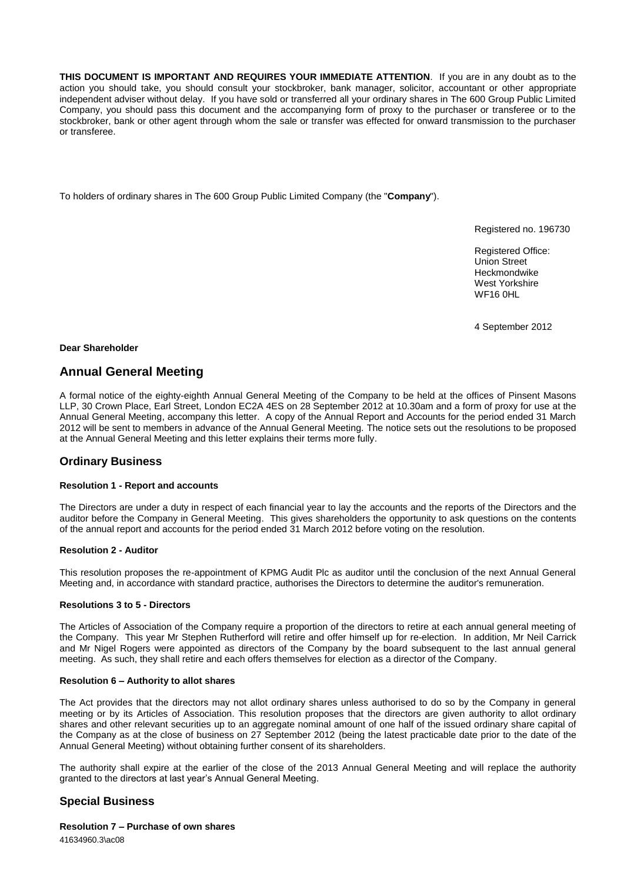**THIS DOCUMENT IS IMPORTANT AND REQUIRES YOUR IMMEDIATE ATTENTION**. If you are in any doubt as to the action you should take, you should consult your stockbroker, bank manager, solicitor, accountant or other appropriate independent adviser without delay. If you have sold or transferred all your ordinary shares in The 600 Group Public Limited Company, you should pass this document and the accompanying form of proxy to the purchaser or transferee or to the stockbroker, bank or other agent through whom the sale or transfer was effected for onward transmission to the purchaser or transferee.

To holders of ordinary shares in The 600 Group Public Limited Company (the "**Company**").

Registered no. 196730

Registered Office: Union Street Heckmondwike West Yorkshire WF16 0HL

4 September 2012

## **Dear Shareholder**

# **Annual General Meeting**

A formal notice of the eighty-eighth Annual General Meeting of the Company to be held at the offices of Pinsent Masons LLP, 30 Crown Place, Earl Street, London EC2A 4ES on 28 September 2012 at 10.30am and a form of proxy for use at the Annual General Meeting, accompany this letter. A copy of the Annual Report and Accounts for the period ended 31 March 2012 will be sent to members in advance of the Annual General Meeting. The notice sets out the resolutions to be proposed at the Annual General Meeting and this letter explains their terms more fully.

# **Ordinary Business**

## **Resolution 1 - Report and accounts**

The Directors are under a duty in respect of each financial year to lay the accounts and the reports of the Directors and the auditor before the Company in General Meeting. This gives shareholders the opportunity to ask questions on the contents of the annual report and accounts for the period ended 31 March 2012 before voting on the resolution.

#### **Resolution 2 - Auditor**

This resolution proposes the re-appointment of KPMG Audit Plc as auditor until the conclusion of the next Annual General Meeting and, in accordance with standard practice, authorises the Directors to determine the auditor's remuneration.

#### **Resolutions 3 to 5 - Directors**

The Articles of Association of the Company require a proportion of the directors to retire at each annual general meeting of the Company. This year Mr Stephen Rutherford will retire and offer himself up for re-election. In addition, Mr Neil Carrick and Mr Nigel Rogers were appointed as directors of the Company by the board subsequent to the last annual general meeting. As such, they shall retire and each offers themselves for election as a director of the Company.

#### **Resolution 6 – Authority to allot shares**

The Act provides that the directors may not allot ordinary shares unless authorised to do so by the Company in general meeting or by its Articles of Association. This resolution proposes that the directors are given authority to allot ordinary shares and other relevant securities up to an aggregate nominal amount of one half of the issued ordinary share capital of the Company as at the close of business on 27 September 2012 (being the latest practicable date prior to the date of the Annual General Meeting) without obtaining further consent of its shareholders.

The authority shall expire at the earlier of the close of the 2013 Annual General Meeting and will replace the authority granted to the directors at last year's Annual General Meeting.

# **Special Business**

**Resolution 7 – Purchase of own shares**

41634960.3\ac08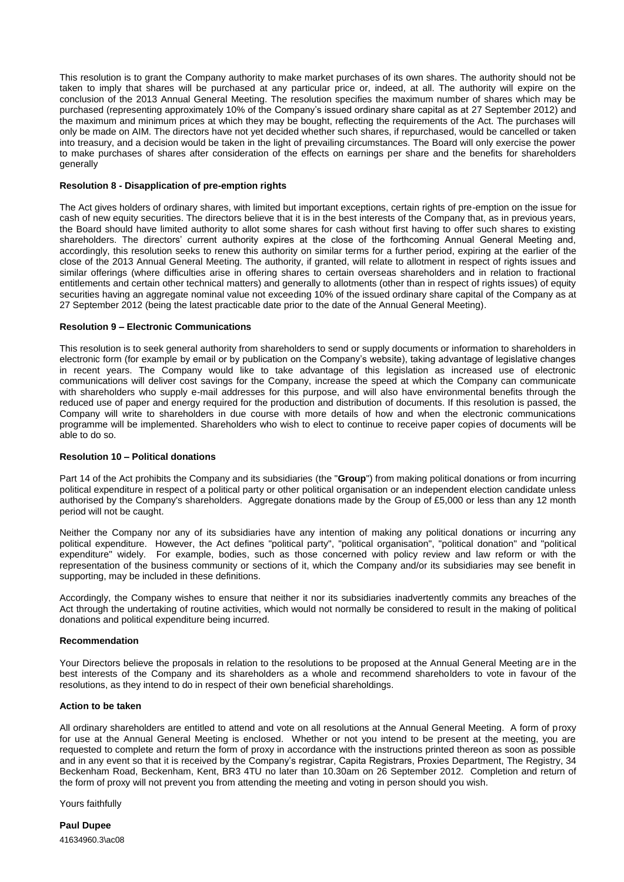This resolution is to grant the Company authority to make market purchases of its own shares. The authority should not be taken to imply that shares will be purchased at any particular price or, indeed, at all. The authority will expire on the conclusion of the 2013 Annual General Meeting. The resolution specifies the maximum number of shares which may be purchased (representing approximately 10% of the Company's issued ordinary share capital as at 27 September 2012) and the maximum and minimum prices at which they may be bought, reflecting the requirements of the Act. The purchases will only be made on AIM. The directors have not yet decided whether such shares, if repurchased, would be cancelled or taken into treasury, and a decision would be taken in the light of prevailing circumstances. The Board will only exercise the power to make purchases of shares after consideration of the effects on earnings per share and the benefits for shareholders generally

### **Resolution 8 - Disapplication of pre-emption rights**

The Act gives holders of ordinary shares, with limited but important exceptions, certain rights of pre-emption on the issue for cash of new equity securities. The directors believe that it is in the best interests of the Company that, as in previous years, the Board should have limited authority to allot some shares for cash without first having to offer such shares to existing shareholders. The directors' current authority expires at the close of the forthcoming Annual General Meeting and, accordingly, this resolution seeks to renew this authority on similar terms for a further period, expiring at the earlier of the close of the 2013 Annual General Meeting. The authority, if granted, will relate to allotment in respect of rights issues and similar offerings (where difficulties arise in offering shares to certain overseas shareholders and in relation to fractional entitlements and certain other technical matters) and generally to allotments (other than in respect of rights issues) of equity securities having an aggregate nominal value not exceeding 10% of the issued ordinary share capital of the Company as at 27 September 2012 (being the latest practicable date prior to the date of the Annual General Meeting).

## **Resolution 9 – Electronic Communications**

This resolution is to seek general authority from shareholders to send or supply documents or information to shareholders in electronic form (for example by email or by publication on the Company's website), taking advantage of legislative changes in recent years. The Company would like to take advantage of this legislation as increased use of electronic communications will deliver cost savings for the Company, increase the speed at which the Company can communicate with shareholders who supply e-mail addresses for this purpose, and will also have environmental benefits through the reduced use of paper and energy required for the production and distribution of documents. If this resolution is passed, the Company will write to shareholders in due course with more details of how and when the electronic communications programme will be implemented. Shareholders who wish to elect to continue to receive paper copies of documents will be able to do so.

## **Resolution 10 – Political donations**

Part 14 of the Act prohibits the Company and its subsidiaries (the "**Group**") from making political donations or from incurring political expenditure in respect of a political party or other political organisation or an independent election candidate unless authorised by the Company's shareholders. Aggregate donations made by the Group of £5,000 or less than any 12 month period will not be caught.

Neither the Company nor any of its subsidiaries have any intention of making any political donations or incurring any political expenditure. However, the Act defines "political party", "political organisation", "political donation" and "political expenditure" widely. For example, bodies, such as those concerned with policy review and law reform or with the representation of the business community or sections of it, which the Company and/or its subsidiaries may see benefit in supporting, may be included in these definitions.

Accordingly, the Company wishes to ensure that neither it nor its subsidiaries inadvertently commits any breaches of the Act through the undertaking of routine activities, which would not normally be considered to result in the making of political donations and political expenditure being incurred.

#### **Recommendation**

Your Directors believe the proposals in relation to the resolutions to be proposed at the Annual General Meeting are in the best interests of the Company and its shareholders as a whole and recommend shareholders to vote in favour of the resolutions, as they intend to do in respect of their own beneficial shareholdings.

#### **Action to be taken**

All ordinary shareholders are entitled to attend and vote on all resolutions at the Annual General Meeting. A form of proxy for use at the Annual General Meeting is enclosed. Whether or not you intend to be present at the meeting, you are requested to complete and return the form of proxy in accordance with the instructions printed thereon as soon as possible and in any event so that it is received by the Company's registrar, Capita Registrars, Proxies Department, The Registry, 34 Beckenham Road, Beckenham, Kent, BR3 4TU no later than 10.30am on 26 September 2012. Completion and return of the form of proxy will not prevent you from attending the meeting and voting in person should you wish.

Yours faithfully

41634960.3\ac08 **Paul Dupee**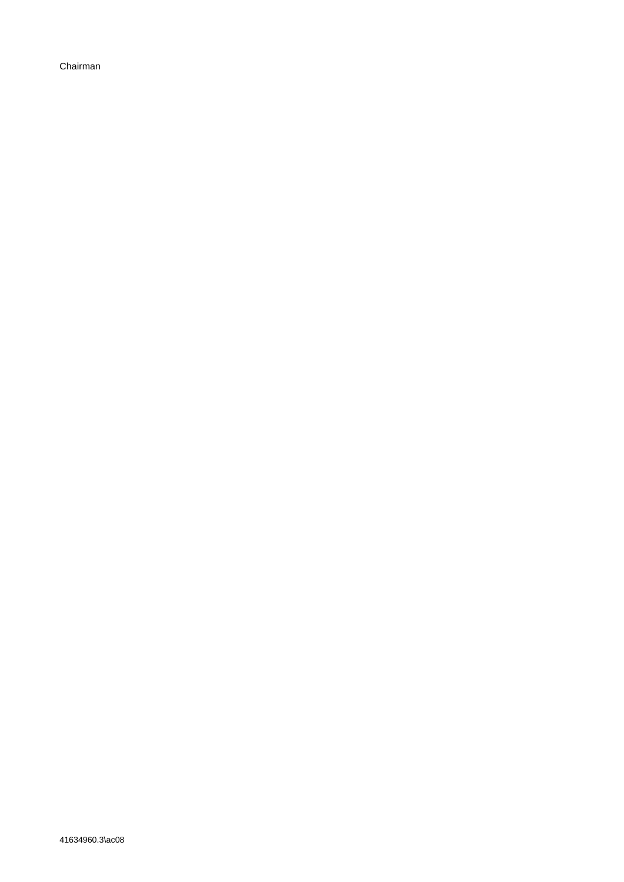Chairman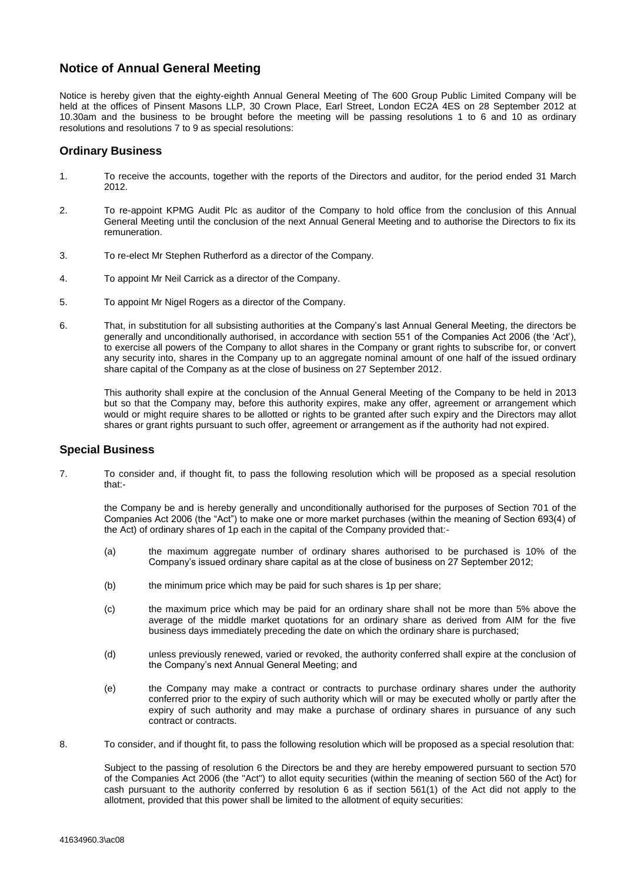# **Notice of Annual General Meeting**

Notice is hereby given that the eighty-eighth Annual General Meeting of The 600 Group Public Limited Company will be held at the offices of Pinsent Masons LLP, 30 Crown Place, Earl Street, London EC2A 4ES on 28 September 2012 at 10.30am and the business to be brought before the meeting will be passing resolutions 1 to 6 and 10 as ordinary resolutions and resolutions 7 to 9 as special resolutions:

# **Ordinary Business**

- 1. To receive the accounts, together with the reports of the Directors and auditor, for the period ended 31 March 2012.
- 2. To re-appoint KPMG Audit Plc as auditor of the Company to hold office from the conclusion of this Annual General Meeting until the conclusion of the next Annual General Meeting and to authorise the Directors to fix its remuneration.
- 3. To re-elect Mr Stephen Rutherford as a director of the Company.
- 4. To appoint Mr Neil Carrick as a director of the Company.
- 5. To appoint Mr Nigel Rogers as a director of the Company.
- 6. That, in substitution for all subsisting authorities at the Company's last Annual General Meeting, the directors be generally and unconditionally authorised, in accordance with section 551 of the Companies Act 2006 (the 'Act'), to exercise all powers of the Company to allot shares in the Company or grant rights to subscribe for, or convert any security into, shares in the Company up to an aggregate nominal amount of one half of the issued ordinary share capital of the Company as at the close of business on 27 September 2012.

This authority shall expire at the conclusion of the Annual General Meeting of the Company to be held in 2013 but so that the Company may, before this authority expires, make any offer, agreement or arrangement which would or might require shares to be allotted or rights to be granted after such expiry and the Directors may allot shares or grant rights pursuant to such offer, agreement or arrangement as if the authority had not expired.

# **Special Business**

7. To consider and, if thought fit, to pass the following resolution which will be proposed as a special resolution that:-

the Company be and is hereby generally and unconditionally authorised for the purposes of Section 701 of the Companies Act 2006 (the "Act") to make one or more market purchases (within the meaning of Section 693(4) of the Act) of ordinary shares of 1p each in the capital of the Company provided that:-

- (a) the maximum aggregate number of ordinary shares authorised to be purchased is 10% of the Company's issued ordinary share capital as at the close of business on 27 September 2012;
- (b) the minimum price which may be paid for such shares is 1p per share;
- (c) the maximum price which may be paid for an ordinary share shall not be more than 5% above the average of the middle market quotations for an ordinary share as derived from AIM for the five business days immediately preceding the date on which the ordinary share is purchased;
- (d) unless previously renewed, varied or revoked, the authority conferred shall expire at the conclusion of the Company's next Annual General Meeting; and
- (e) the Company may make a contract or contracts to purchase ordinary shares under the authority conferred prior to the expiry of such authority which will or may be executed wholly or partly after the expiry of such authority and may make a purchase of ordinary shares in pursuance of any such contract or contracts.
- 8. To consider, and if thought fit, to pass the following resolution which will be proposed as a special resolution that:

Subject to the passing of resolution 6 the Directors be and they are hereby empowered pursuant to section 570 of the Companies Act 2006 (the "Act") to allot equity securities (within the meaning of section 560 of the Act) for cash pursuant to the authority conferred by resolution 6 as if section 561(1) of the Act did not apply to the allotment, provided that this power shall be limited to the allotment of equity securities: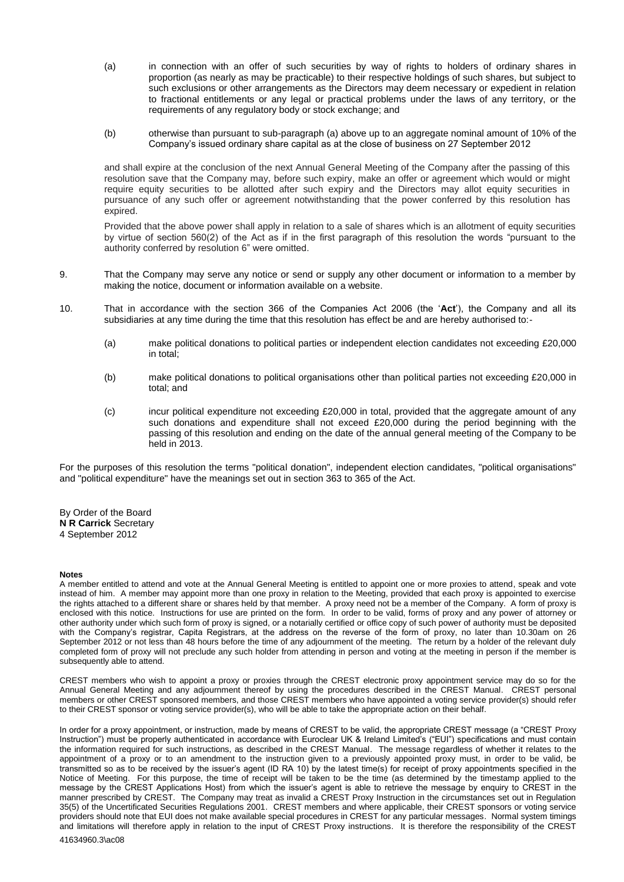- (a) in connection with an offer of such securities by way of rights to holders of ordinary shares in proportion (as nearly as may be practicable) to their respective holdings of such shares, but subject to such exclusions or other arrangements as the Directors may deem necessary or expedient in relation to fractional entitlements or any legal or practical problems under the laws of any territory, or the requirements of any regulatory body or stock exchange; and
- (b) otherwise than pursuant to sub-paragraph (a) above up to an aggregate nominal amount of 10% of the Company's issued ordinary share capital as at the close of business on 27 September 2012

and shall expire at the conclusion of the next Annual General Meeting of the Company after the passing of this resolution save that the Company may, before such expiry, make an offer or agreement which would or might require equity securities to be allotted after such expiry and the Directors may allot equity securities in pursuance of any such offer or agreement notwithstanding that the power conferred by this resolution has expired.

Provided that the above power shall apply in relation to a sale of shares which is an allotment of equity securities by virtue of section 560(2) of the Act as if in the first paragraph of this resolution the words "pursuant to the authority conferred by resolution 6" were omitted.

- 9. That the Company may serve any notice or send or supply any other document or information to a member by making the notice, document or information available on a website.
- 10. That in accordance with the section 366 of the Companies Act 2006 (the '**Act**'), the Company and all its subsidiaries at any time during the time that this resolution has effect be and are hereby authorised to:-
	- (a) make political donations to political parties or independent election candidates not exceeding £20,000 in total;
	- (b) make political donations to political organisations other than political parties not exceeding £20,000 in total; and
	- (c) incur political expenditure not exceeding £20,000 in total, provided that the aggregate amount of any such donations and expenditure shall not exceed £20,000 during the period beginning with the passing of this resolution and ending on the date of the annual general meeting of the Company to be held in 2013.

For the purposes of this resolution the terms "political donation", independent election candidates, "political organisations" and "political expenditure" have the meanings set out in section 363 to 365 of the Act.

By Order of the Board **N R Carrick** Secretary 4 September 2012

#### **Notes**

A member entitled to attend and vote at the Annual General Meeting is entitled to appoint one or more proxies to attend, speak and vote instead of him. A member may appoint more than one proxy in relation to the Meeting, provided that each proxy is appointed to exercise the rights attached to a different share or shares held by that member. A proxy need not be a member of the Company. A form of proxy is enclosed with this notice. Instructions for use are printed on the form. In order to be valid, forms of proxy and any power of attorney or other authority under which such form of proxy is signed, or a notarially certified or office copy of such power of authority must be deposited with the Company's registrar, Capita Registrars, at the address on the reverse of the form of proxy, no later than 10.30am on 26 September 2012 or not less than 48 hours before the time of any adjournment of the meeting. The return by a holder of the relevant duly completed form of proxy will not preclude any such holder from attending in person and voting at the meeting in person if the member is subsequently able to attend.

CREST members who wish to appoint a proxy or proxies through the CREST electronic proxy appointment service may do so for the Annual General Meeting and any adjournment thereof by using the procedures described in the CREST Manual. CREST personal members or other CREST sponsored members, and those CREST members who have appointed a voting service provider(s) should refer to their CREST sponsor or voting service provider(s), who will be able to take the appropriate action on their behalf.

In order for a proxy appointment, or instruction, made by means of CREST to be valid, the appropriate CREST message (a "CREST Proxy Instruction") must be properly authenticated in accordance with Euroclear UK & Ireland Limited's ("EUI") specifications and must contain the information required for such instructions, as described in the CREST Manual. The message regardless of whether it relates to the appointment of a proxy or to an amendment to the instruction given to a previously appointed proxy must, in order to be valid, be transmitted so as to be received by the issuer's agent (ID RA 10) by the latest time(s) for receipt of proxy appointments specified in the Notice of Meeting. For this purpose, the time of receipt will be taken to be the time (as determined by the timestamp applied to the message by the CREST Applications Host) from which the issuer's agent is able to retrieve the message by enquiry to CREST in the manner prescribed by CREST. The Company may treat as invalid a CREST Proxy Instruction in the circumstances set out in Regulation 35(5) of the Uncertificated Securities Regulations 2001. CREST members and where applicable, their CREST sponsors or voting service providers should note that EUI does not make available special procedures in CREST for any particular messages. Normal system timings and limitations will therefore apply in relation to the input of CREST Proxy instructions. It is therefore the responsibility of the CREST